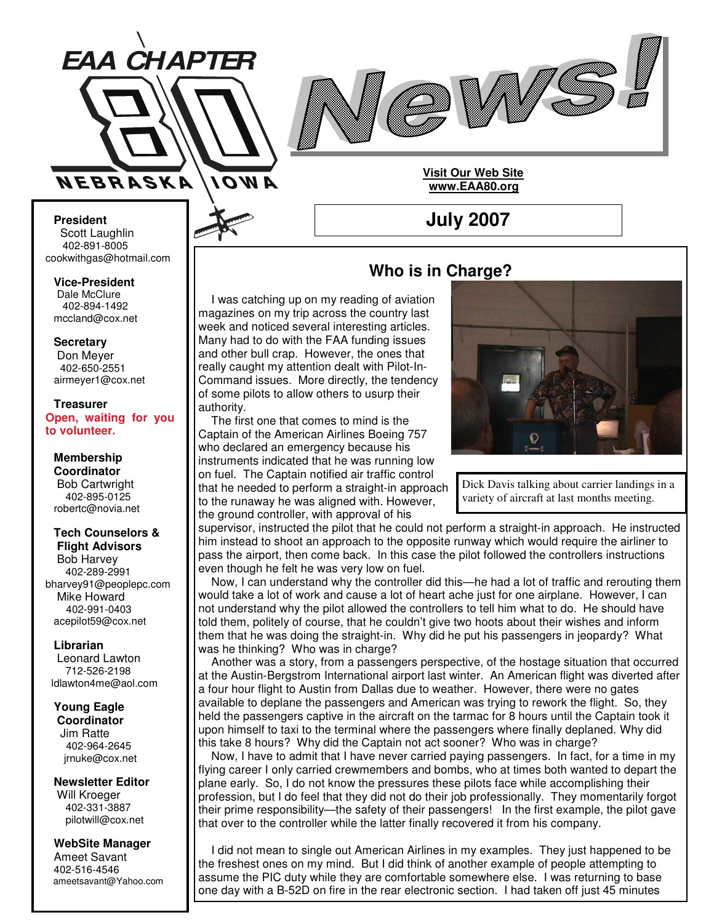



**Visit Our Web Site www.EAA80.org**

**July 2007**

**President** Scott Laughlin 402-891-8005 cookwithgas@hotmail.com

**Vice-President** Dale McClure 402-894-1492 mccland@cox.net

**Secretary**

Don Meyer 402-650-2551 airmeyer1@cox.net

**Treasurer Open, waiting for you to volunteer.**

**Membership Coordinator** Bob Cartwright 402-895-0125 robertc@novia.net

#### **Tech Counselors & Flight Advisors**

Bob Harvey 402-289-2991 bharvey91@peoplepc.com Mike Howard 402-991-0403 acepilot59@cox.net

#### **Librarian**

Leonard Lawton 712-526-2198 ldlawton4me@aol.com

**Young Eagle Coordinator** Jim Ratte 402-964-2645 jrnuke@cox.net

**Newsletter Editor**

Will Kroeger 402-331-3887 pilotwill@cox.net

#### **WebSite Manager**

Ameet Savant 402-516-4546 ameetsavant@Yahoo.com

# **Who is in Charge?**

I was catching up on my reading of aviation magazines on my trip across the country last week and noticed several interesting articles. Many had to do with the FAA funding issues and other bull crap. However, the ones that really caught my attention dealt with Pilot-In-Command issues. More directly, the tendency of some pilots to allow others to usurp their authority.

The first one that comes to mind is the Captain of the American Airlines Boeing 757 who declared an emergency because his instruments indicated that he was running low on fuel. The Captain notified air traffic control that he needed to perform a straight-in approach to the runaway he was aligned with. However, the ground controller, with approval of his

supervisor, instructed the pilot that he could not perform a straight-in approach. He instructed him instead to shoot an approach to the opposite runway which would require the airliner to pass the airport, then come back. In this case the pilot followed the controllers instructions even though he felt he was very low on fuel.

Now, I can understand why the controller did this—he had a lot of traffic and rerouting them would take a lot of work and cause a lot of heart ache just for one airplane. However, I can not understand why the pilot allowed the controllers to tell him what to do. He should have told them, politely of course, that he couldn't give two hoots about their wishes and inform them that he was doing the straight-in. Why did he put his passengers in jeopardy? What was he thinking? Who was in charge?

Another was a story, from a passengers perspective, of the hostage situation that occurred at the Austin-Bergstrom International airport last winter. An American flight was diverted after a four hour flight to Austin from Dallas due to weather. However, there were no gates available to deplane the passengers and American was trying to rework the flight. So, they held the passengers captive in the aircraft on the tarmac for 8 hours until the Captain took it upon himself to taxi to the terminal where the passengers where finally deplaned. Why did this take 8 hours? Why did the Captain not act sooner? Who was in charge?

Now, I have to admit that I have never carried paying passengers. In fact, for a time in my flying career I only carried crewmembers and bombs, who at times both wanted to depart the plane early. So, I do not know the pressures these pilots face while accomplishing their profession, but I do feel that they did not do their job professionally. They momentarily forgot their prime responsibility—the safety of their passengers! In the first example, the pilot gave that over to the controller while the latter finally recovered it from his company.

I did not mean to single out American Airlines in my examples. They just happened to be the freshest ones on my mind. But I did think of another example of people attempting to assume the PIC duty while they are comfortable somewhere else. I was returning to base one day with a B-52D on fire in the rear electronic section. I had taken off just 45 minutes



Dick Davis talking about carrier landings in a variety of aircraft at last months meeting.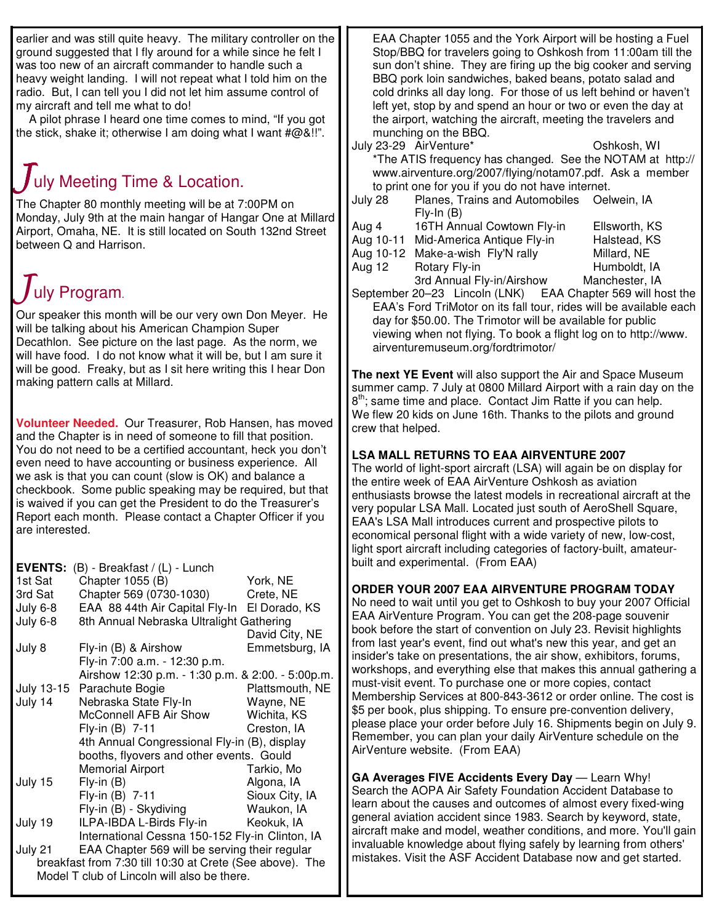earlier and was still quite heavy. The military controller on the ground suggested that I fly around for a while since he felt I was too new of an aircraft commander to handle such a heavy weight landing. I will not repeat what I told him on the radio. But, I can tell you I did not let him assume control of my aircraft and tell me what to do!

A pilot phrase I heard one time comes to mind, "If you got the stick, shake it; otherwise I am doing what I want  $\#\textcircled{a}$  !!".

# I uly Meeting Time & Location.

The Chapter 80 monthly meeting will be at 7:00PM on Monday, July 9th at the main hangar of Hangar One at Millard Airport, Omaha, NE. It is still located on South 132nd Street between Q and Harrison.

# uly Program.

Our speaker this month will be our very own Don Meyer. He will be talking about his American Champion Super Decathlon. See picture on the last page. As the norm, we will have food. I do not know what it will be, but I am sure it will be good. Freaky, but as I sit here writing this I hear Don making pattern calls at Millard.

**Volunteer Needed.** Our Treasurer, Rob Hansen, has moved and the Chapter is in need of someone to fill that position. You do not need to be a certified accountant, heck you don't even need to have accounting or business experience. All we ask is that you can count (slow is OK) and balance a checkbook. Some public speaking may be required, but that is waived if you can get the President to do the Treasurer's Report each month. Please contact a Chapter Officer if you are interested.

| $(B)$ - Breakfast / $(L)$ - Lunch                        |                                                                                                                                                                                |
|----------------------------------------------------------|--------------------------------------------------------------------------------------------------------------------------------------------------------------------------------|
|                                                          | York, NE                                                                                                                                                                       |
|                                                          | Crete, NE                                                                                                                                                                      |
|                                                          | El Dorado, KS                                                                                                                                                                  |
|                                                          |                                                                                                                                                                                |
|                                                          | David City, NE                                                                                                                                                                 |
| Fly-in (B) & Airshow                                     | Emmetsburg, IA                                                                                                                                                                 |
| Fly-in 7:00 a.m. - 12:30 p.m.                            |                                                                                                                                                                                |
|                                                          |                                                                                                                                                                                |
| Parachute Bogie<br>July 13-15                            | Plattsmouth, NE                                                                                                                                                                |
| Nebraska State Fly-In                                    | Wayne, NE                                                                                                                                                                      |
| McConnell AFB Air Show                                   | Wichita, KS                                                                                                                                                                    |
| Fly-in (B) 7-11                                          | Creston, IA                                                                                                                                                                    |
| 4th Annual Congressional Fly-in (B), display             |                                                                                                                                                                                |
| booths, flyovers and other events. Gould                 |                                                                                                                                                                                |
| <b>Memorial Airport</b>                                  | Tarkio, Mo                                                                                                                                                                     |
| $Fly-in(B)$                                              | Algona, IA                                                                                                                                                                     |
| Fly-in (B) 7-11                                          | Sioux City, IA                                                                                                                                                                 |
| Fly-in (B) - Skydiving                                   | Waukon, IA                                                                                                                                                                     |
| ILPA-IBDA L-Birds Fly-in                                 | Keokuk, IA                                                                                                                                                                     |
| International Cessna 150-152 Fly-in Clinton, IA          |                                                                                                                                                                                |
| EAA Chapter 569 will be serving their regular            |                                                                                                                                                                                |
| breakfast from 7:30 till 10:30 at Crete (See above). The |                                                                                                                                                                                |
| Model T club of Lincoln will also be there.              |                                                                                                                                                                                |
|                                                          | Chapter 1055 (B)<br>Chapter 569 (0730-1030)<br>EAA 88 44th Air Capital Fly-In<br>8th Annual Nebraska Ultralight Gathering<br>Airshow 12:30 p.m. - 1:30 p.m. & 2:00. - 5:00p.m. |

EAA Chapter 1055 and the York Airport will be hosting a Fuel Stop/BBQ for travelers going to Oshkosh from 11:00am till the sun don't shine. They are firing up the big cooker and serving BBQ pork loin sandwiches, baked beans, potato salad and cold drinks all day long. For those of us left behind or haven't left yet, stop by and spend an hour or two or even the day at the airport, watching the aircraft, meeting the travelers and munching on the BBQ.

- July 23-29 AirVenture\* Oshkosh, WI \*The ATIS frequency has changed. See the NOTAM at http:// www.airventure.org/2007/flying/notam07.pdf. Ask a member to print one for you if you do not have internet.
- July 28 Planes, Trains and Automobiles Oelwein, IA Fly-In (B)
- Aug 4 16TH Annual Cowtown Fly-in Ellsworth, KS
- Aug 10-11 Mid-America Antique Fly-in Halstead, KS Aug 10-12 Make-a-wish Fly'N rally Millard, NE
- Aug 12 Rotary Fly-in Humboldt, IA
- 3rd Annual Fly-in/Airshow Manchester, IA

September 20–23 Lincoln (LNK) EAA Chapter 569 will host the EAA's Ford TriMotor on its fall tour, rides will be available each day for \$50.00. The Trimotor will be available for public viewing when not flying. To book a flight log on to http://www. airventuremuseum.org/fordtrimotor/

**The next YE Event** will also support the Air and Space Museum summer camp. 7 July at 0800 Millard Airport with a rain day on the 8<sup>th</sup>; same time and place. Contact Jim Ratte if you can help. We flew 20 kids on June 16th. Thanks to the pilots and ground crew that helped.

## **LSA MALL RETURNS TO EAA AIRVENTURE 2007**

The world of light-sport aircraft (LSA) will again be on display for the entire week of EAA AirVenture Oshkosh as aviation enthusiasts browse the latest models in recreational aircraft at the very popular LSA Mall. Located just south of AeroShell Square, EAA's LSA Mall introduces current and prospective pilots to economical personal flight with a wide variety of new, low-cost, light sport aircraft including categories of factory-built, amateurbuilt and experimental. (From EAA)

### **ORDER YOUR 2007 EAA AIRVENTURE PROGRAM TODAY**

No need to wait until you get to Oshkosh to buy your 2007 Official EAA AirVenture Program. You can get the 208-page souvenir book before the start of convention on July 23. Revisit highlights from last year's event, find out what's new this year, and get an insider's take on presentations, the air show, exhibitors, forums, workshops, and everything else that makes this annual gathering a must-visit event. To purchase one or more copies, contact Membership Services at 800-843-3612 or order online. The cost is \$5 per book, plus shipping. To ensure pre-convention delivery, please place your order before July 16. Shipments begin on July 9. Remember, you can plan your daily AirVenture schedule on the AirVenture website. (From EAA)

**GA Averages FIVE Accidents Every Day** — Learn Why! Search the AOPA Air Safety Foundation Accident Database to learn about the causes and outcomes of almost every fixed-wing general aviation accident since 1983. Search by keyword, state, aircraft make and model, weather conditions, and more. You'll gain invaluable knowledge about flying safely by learning from others' mistakes. Visit the ASF Accident Database now and get started.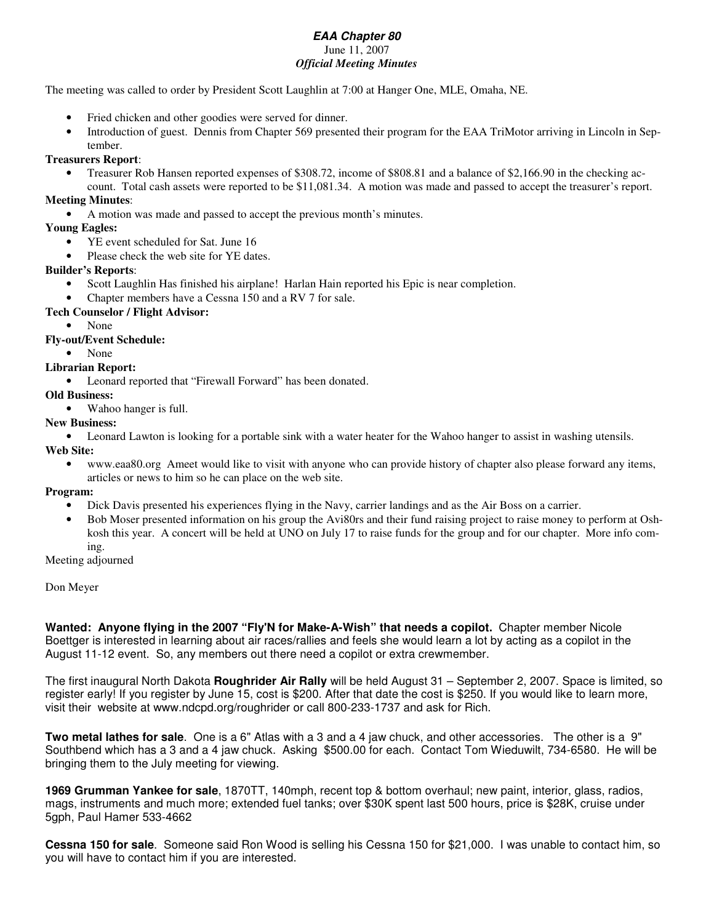#### *EAA Chapter 80* June 11, 2007 *Official Meeting Minutes*

The meeting was called to order by President Scott Laughlin at 7:00 at Hanger One, MLE, Omaha, NE.

- Fried chicken and other goodies were served for dinner.
- Introduction of guest. Dennis from Chapter 569 presented their program for the EAA TriMotor arriving in Lincoln in September.

#### **Treasurers Report**:

• Treasurer Rob Hansen reported expenses of \$308.72, income of \$808.81 and a balance of \$2,166.90 in the checking account. Total cash assets were reported to be \$11,081.34. A motion was made and passed to accept the treasurer's report.

#### **Meeting Minutes**:

• A motion was made and passed to accept the previous month's minutes.

#### **Young Eagles:**

- YE event scheduled for Sat. June 16
- Please check the web site for YE dates.

#### **Builder's Reports**:

- Scott Laughlin Has finished his airplane! Harlan Hain reported his Epic is near completion.
- Chapter members have a Cessna 150 and a RV 7 for sale.

#### **Tech Counselor / Flight Advisor:**

• None

#### **Fly-out/Event Schedule:**

• None

#### **Librarian Report:**

• Leonard reported that "Firewall Forward" has been donated.

#### **Old Business:**

• Wahoo hanger is full.

#### **New Business:**

• Leonard Lawton is looking for a portable sink with a water heater for the Wahoo hanger to assist in washing utensils. **Web Site:**

• www.eaa80.org Ameet would like to visit with anyone who can provide history of chapter also please forward any items, articles or news to him so he can place on the web site.

#### **Program:**

- Dick Davis presented his experiences flying in the Navy, carrier landings and as the Air Boss on a carrier.
- Bob Moser presented information on his group the Avi80rs and their fund raising project to raise money to perform at Oshkosh this year. A concert will be held at UNO on July 17 to raise funds for the group and for our chapter. More info coming.

Meeting adjourned

Don Meyer

**Wanted: Anyone flying in the 2007 "Fly'N for Make-A-Wish" that needs a copilot.** Chapter member Nicole Boettger is interested in learning about air races/rallies and feels she would learn a lot by acting as a copilot in the August 11-12 event. So, any members out there need a copilot or extra crewmember.

The first inaugural North Dakota **Roughrider Air Rally** will be held August 31 – September 2, 2007. Space is limited, so register early! If you register by June 15, cost is \$200. After that date the cost is \$250. If you would like to learn more, visit their website at www.ndcpd.org/roughrider or call 800-233-1737 and ask for Rich.

**Two metal lathes for sale**. One is a 6" Atlas with a 3 and a 4 jaw chuck, and other accessories. The other is a 9" Southbend which has a 3 and a 4 jaw chuck. Asking \$500.00 for each. Contact Tom Wieduwilt, 734-6580. He will be bringing them to the July meeting for viewing.

**1969 Grumman Yankee for sale**, 1870TT, 140mph, recent top & bottom overhaul; new paint, interior, glass, radios, mags, instruments and much more; extended fuel tanks; over \$30K spent last 500 hours, price is \$28K, cruise under 5gph, Paul Hamer 533-4662

**Cessna 150 for sale**. Someone said Ron Wood is selling his Cessna 150 for \$21,000. I was unable to contact him, so you will have to contact him if you are interested.